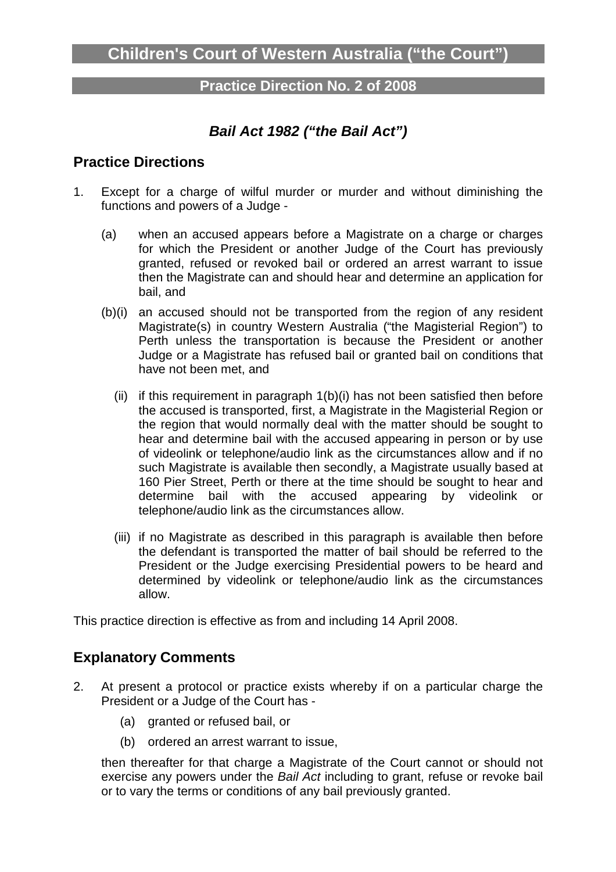#### **Practice Direction No. 2 of 2008**

# **Bail Act 1982 ("the Bail Act")**

## **Practice Directions**

- 1. Except for a charge of wilful murder or murder and without diminishing the functions and powers of a Judge -
	- (a) when an accused appears before a Magistrate on a charge or charges for which the President or another Judge of the Court has previously granted, refused or revoked bail or ordered an arrest warrant to issue then the Magistrate can and should hear and determine an application for bail, and
	- (b)(i) an accused should not be transported from the region of any resident Magistrate(s) in country Western Australia ("the Magisterial Region") to Perth unless the transportation is because the President or another Judge or a Magistrate has refused bail or granted bail on conditions that have not been met, and
		- (ii) if this requirement in paragraph 1(b)(i) has not been satisfied then before the accused is transported, first, a Magistrate in the Magisterial Region or the region that would normally deal with the matter should be sought to hear and determine bail with the accused appearing in person or by use of videolink or telephone/audio link as the circumstances allow and if no such Magistrate is available then secondly, a Magistrate usually based at 160 Pier Street, Perth or there at the time should be sought to hear and determine bail with the accused appearing by videolink or telephone/audio link as the circumstances allow.
		- (iii) if no Magistrate as described in this paragraph is available then before the defendant is transported the matter of bail should be referred to the President or the Judge exercising Presidential powers to be heard and determined by videolink or telephone/audio link as the circumstances allow.

This practice direction is effective as from and including 14 April 2008.

#### **Explanatory Comments**

- 2. At present a protocol or practice exists whereby if on a particular charge the President or a Judge of the Court has -
	- (a) granted or refused bail, or
	- (b) ordered an arrest warrant to issue,

then thereafter for that charge a Magistrate of the Court cannot or should not exercise any powers under the Bail Act including to grant, refuse or revoke bail or to vary the terms or conditions of any bail previously granted.